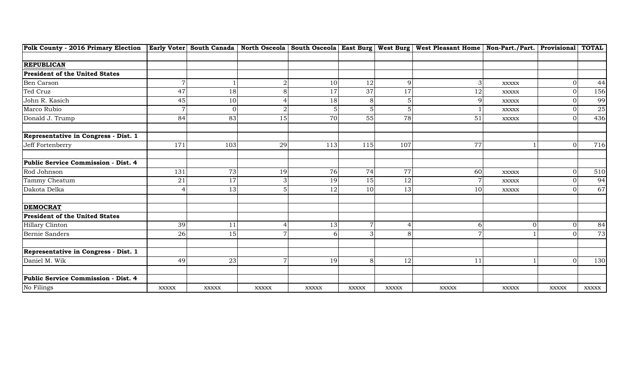| Polk County - 2016 Primary Election   Early Voter  South Canada   North Osceola   South Osceola   East Burg   West Burg   West Pleasant Home   Non-Part./Part.   Provisional   TOTAL |                |              |                |                |              |              |                |                |              |              |
|--------------------------------------------------------------------------------------------------------------------------------------------------------------------------------------|----------------|--------------|----------------|----------------|--------------|--------------|----------------|----------------|--------------|--------------|
|                                                                                                                                                                                      |                |              |                |                |              |              |                |                |              |              |
| <b>REPUBLICAN</b>                                                                                                                                                                    |                |              |                |                |              |              |                |                |              |              |
| <b>President of the United States</b>                                                                                                                                                |                |              |                |                |              |              |                |                |              |              |
| Ben Carson                                                                                                                                                                           | $\overline{7}$ |              |                | 10             | 12           | q            | 3              | <b>XXXXX</b>   | $\Omega$     | 44           |
| Ted Cruz                                                                                                                                                                             | 47             | 18           | 8              | 17             | 37           | 17           | 12             | <b>XXXXX</b>   | $\Omega$     | 156          |
| John R. Kasich                                                                                                                                                                       | 45             | 10           |                | 18             | 8            | 5            | 9              | <b>XXXXX</b>   |              | 99           |
| Marco Rubio                                                                                                                                                                          | $\overline{7}$ | ∩            |                |                |              |              |                | $\bold{XXXXX}$ |              | $25\,$       |
| Donald J. Trump                                                                                                                                                                      | 84             | 83           | 15             | 70             | 55           | 78           | 51             | <b>XXXXX</b>   | $\Omega$     | 436          |
| Representative in Congress - Dist. 1                                                                                                                                                 |                |              |                |                |              |              |                |                |              |              |
| Jeff Fortenberry                                                                                                                                                                     | 171            | 103          | 29             | 113            | 115          | 107          | 77             |                | $\Omega$     | 716          |
| Public Service Commission - Dist. 4                                                                                                                                                  |                |              |                |                |              |              |                |                |              |              |
| Rod Johnson                                                                                                                                                                          | 131            | 73           | 19             | 76             | 74           | 77           | 60             | <b>XXXXX</b>   | $\Omega$     | 510          |
| Tammy Cheatum                                                                                                                                                                        | 21             | 17           | 3              | 19             | 15           | 12           | $\overline{7}$ | <b>XXXXX</b>   |              | 94           |
| Dakota Delka                                                                                                                                                                         | $\overline{4}$ | 13           |                | 12             | 10           | 13           | 10             | <b>XXXXX</b>   | $\Omega$     | 67           |
| <b>DEMOCRAT</b>                                                                                                                                                                      |                |              |                |                |              |              |                |                |              |              |
| <b>President of the United States</b>                                                                                                                                                |                |              |                |                |              |              |                |                |              |              |
| Hillary Clinton                                                                                                                                                                      | 39             |              |                | 13             | 7            |              | 6              | $\Omega$       | $\Omega$     | 84           |
| Bernie Sanders                                                                                                                                                                       | 26             | 15           |                |                | 3            |              | $\overline{7}$ |                |              | 73           |
| Representative in Congress - Dist. 1                                                                                                                                                 |                |              |                |                |              |              |                |                |              |              |
| Daniel M. Wik                                                                                                                                                                        | 49             | 23           | $\overline{7}$ | 19             | 8            | 12           | 11             |                | $\Omega$     | 130          |
| Public Service Commission - Dist. 4                                                                                                                                                  |                |              |                |                |              |              |                |                |              |              |
| No Filings                                                                                                                                                                           | <b>XXXXX</b>   | <b>XXXXX</b> | <b>XXXXX</b>   | $\bold{XXXXX}$ | <b>XXXXX</b> | <b>XXXXX</b> | <b>XXXXX</b>   | <b>XXXXX</b>   | <b>XXXXX</b> | <b>XXXXX</b> |
|                                                                                                                                                                                      |                |              |                |                |              |              |                |                |              |              |